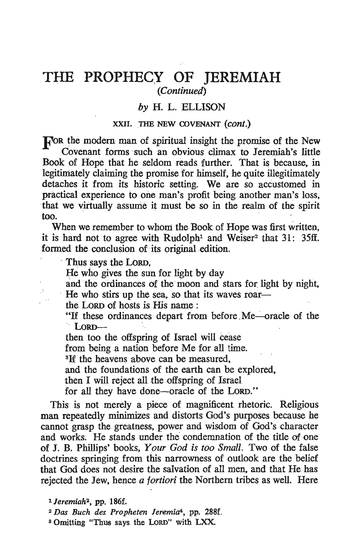# **THE PROPHECY OF JEREMIAH** *. (Continued)*

# *by* H. L. ELLISON

#### XXII. THE NEW COVENANT (cont.)

**For the modern man of spiritual insight the promise of the New** . Covenant forms such an obvious climax to Jeremiah's little Book of Hope that he seldom reads further. That is because, in legitimately claiming the promise for himself, he quite illegitimately detaches it from its historic setting. We are so accustomed in practical experience to one man's profit being another man's loss, hat we virtually assume it must be so in the realm of the spirit ~~ .

When we remember to whom the Book of Hope was first written, it is hard not to agree with Rudolph<sup>1</sup> and Weiser<sup>2</sup> that  $31: 35ff$ . formed the conclusion of its original edition.

Thus says the LORD.

He who gives the sun for light by day

and the ordinances of the moon and stars for light by night,

He who stirs up the sea, so that its waves roar-

the LORD of hosts is His name:

 $\frac{1}{2}$  these ordinances depart from before Me—oracle of the LORD UTUMANCS GUIDAL TIOM UCTOR TWO

then too the offspring of Israel will cease

from being a nation before Me for all time.

*3H* the heavens above can be measured,

and the foundations of the earth can be explored,

then I will reject all the offspring of Israel

for all they have done-oracle of the LORD."

This is not merely a piece of magnificent rhetoric. Religious man repeatedly minimizes and distorts God's purposes because he cannot grasp the greatness, power and wisdom of God's character and works. He stands under the' condemnation of the title of one of J. B. Phillips' books, *Your God is too Small.* Two of the false doctrines springing from this narrowness of outlook are the belief that God does not desire the salvation of all men, and that He has rejected the Jew, hence *a fortiori* the Northern tribes as well. Here

*<sup>1</sup> Jeremiah<sup>2</sup>*, pp. 186f.

*<sup>• 2</sup> Das Buch des Propheten leremia4,* pp. 288f.

<sup>3</sup> Omitting "Thus says the LORD" with LXX.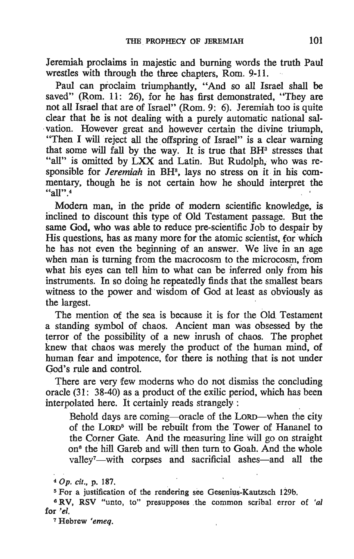Jeremiah proclaims in majestic and burning words the truth Paul wrestles with through the three chapters. Rom. 9-11.

Paul can proclaim triumphantly, "And so all Israel shall be saved" (Rom. 11: 26), for he has first demonstrated, "They are not all Israel that are of Israel" (Rom. 9: 6). Jeremiah too is quite clear that he is not dealing with a purely automatic national sal-. vation. However great and however certain the divine triumph. "Then I will reject all the offspring of Israel" is a clear warning that some will fall by the way. It is true that  $BH<sup>3</sup>$  stresses that "all" is omitted by LXX and Latin. But Rudolph, who was responsible for *Jeremiah* in BH<sup>3</sup>, lays no stress on it in his commentary, though he is not certain how he should interpret the  $\frac{1}{2}$  all  $\frac{1}{4}$ 

Modern man, in the pride of modern scientific knowledge, is mclined to discount this type of Old Testament passage. But the same God, who was able to reduce pre-scientific  $\overline{J}$ ob to despair by His questions, has as many more for the atomic scientist, for which he has not even the beginning of an answer. We live in an age when man is turning from the macrocosm to the microcosm, from what his eyes can tell him to what can be inferred only from his instruments. In so doing he repeatedly finds that the smallest bears witness to the power and wisdom of God at least as obviously as the largest.

The mention of the sea is because it is for the Old Testament a standing symbol of chaos. Ancient man was obsessed by the terror of the possibility of a new inrush of chaos. The prophet knew that chaos was. merely the product of the human mind, of human fear and impotence, for there is nothing that is not under God's rule and control.

There are very few moderns who do not dismiss the concluding oracle (31: 38-40) as a product of the exilic period, which has been interpOlated here. It certainly reads strangely: .

Behold days are coming-oracle of the LORD-when the city of the LORD5 will be rebuilt from the Tower of Hananel to the Corner Gate. And the measuring line will go on straight on<sup>6</sup> the hill Gareb and will then turn to Goah. And the whole valley<sup>7</sup>-with corpses and sacrificial ashes-and all the Behold days are coming—oracle of the LORD—when the cit of the LORD<sup>5</sup> will be rebuilt from the Tower of Hananel the Corner Gate. And the measuring line will go on straight on<sup>6</sup> the hill Gareb and will then turn to Goah.

<sup>6</sup> RV, RSV "unto, to" presupposes the common scribal error of 'al for *'el.* 

7 Hebrew *'emeq.*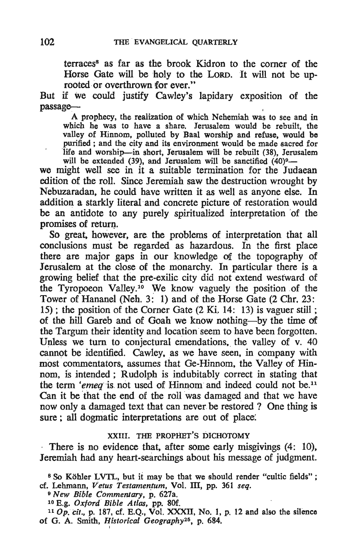terraces<sup>8</sup> as far as the brook Kidron to the corner of the Horse Gate will be holy to the LORD. It will not be uprooted or overthrown for ever."

But if we could justify Cawley's lapidary exposition of the passage—<br>A prophecy, the realization of which Nehemiah was to see and in

which he was to have a share. Jerusalem would be rebuilt, the valley of Hinnom, polluted by Baal worship and refuse, would be purified; and the city and its environment would be made sacred for life and worship-in short, Jerusalem will be rebuilt (38), Jerusalem we also weaking the sheet, seculation will be sanctified  $(40)9$ -

we might well see in it a suitable termination for the Judaean edition of the roll. Since Jeremiah saw the destruction wrought by Nebuzaradan, he could have written it as well as anyone else. In addition a starkly literal· and concrete picture of restoration would be an antidote to any purely spirituaIized interpretation 'of the promises of return.

So great. however, are the problems of interpretation that all conclusions must be regarded as hazardous. In the first place there are major gaps in our knowledge of the topography of Jerusalem at the close of the monarchy. In particular there is a growing belief that the pre-exilic city did not extend westward of the Tyropoeon Valley.<sup>10</sup> We know vaguely the position of the Tower of Hananel (Neh.3: 1) and of the Horse Gate (2 Chr. 23: 15) ; the position of the Corner Gate (2 Ki. 14: 13) is vaguer still ; of the hill Gareb and of Goah we know nothing-by the time of the Targum their identity and location seem to have been forgotten. Unless we turn to conjectural emendations, the valley of v. 40 cannot be identified. Cawley, as we have seen, in company with most commentators, assumes that Ge-Hinnom, the Valley of Hinnom, is intended; Rudolph is indubitably correct in stating that the term 'emeq is not used of Hinnom and indeed could not be.<sup>11</sup> Can it be that the end of the roll was damaged and that we have now only a damaged text that can never be restored? One thing is sure; all dogmatic interpretations are out of place.

## . XXIII. THE PROPHET'S DICHOTOMY

There is no evidence that, after some early misgivings (4: 10), Jeremiah had any heart-searchings about his message of judgment.

- <sup>9</sup>*New Bible Commentary,* P. 627a.
- 10 E.g. *Oxford Bible Atlas,* pp. 8Of.
- <sup>11</sup>Op. *Cit.,* p. 187, cf. E.Q., Vol. XXXII, No. I, p. 12 and also the silence  $\sim$  *G.* A. Smith, *Historical Geography*<sup>25</sup>, p. 684.

<sup>&</sup>lt;sup>8</sup> So Köhler LVTL, but it may be that we should render "cultic fields"; cf. Lehmann, Vetus Testamentum, Vol. III, pp. 361 seq.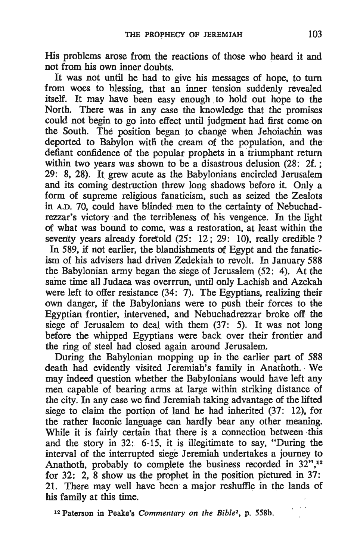His problems arose from the reactions of those who heard it and not from his own inner doubts.

It was not until he had to give his messages of hope, to turn from woes to blessing, that an inner tension suddenly revealed itself. It may have been easy enough to hold out hope to the North. There was in any case the knowledge that the promises could not begin to go into effect until judgment had first come on the South. The position began to change when Jehoiachin was deported to Babylon with the cream of the population, and the defiant confidence of the popular prophets in a triumphant return within two years was shown to be a disastrous delusion (28: 2f.; 29: 8, 28); It grew acute as the Babylonians encircled Jerusalem and its coming destruction threw long shadows before it. Only a form of supreme religious fanaticism, such as seized the Zealots in A.D. 70, could have blinded men to the certainty of Nebuchadrezzar's victory and the terribleness of his vengence. In the light . of what was bound to come, was a restoration, at least within the seventy years already foretold (25: 12; 29: 10), really credible? In 589, if not earlier, the blandishments of Egypt and the fanaticism of his advisers had driven Zedekiah to revolt. In January 588 the Babylonian army began the siege of Jerusalem (52: 4). At the same time all Judaea was overrrun, until only Lachish and Azekah were left to offer resistance  $(34: 7)$ . The Egyptians, realizing their own danger, if the Babylonians were to push their forces to the Egyptian frontier, intervened, and Nebuchadrezzar broke off the siege of Jerusalem to deal with them (37: 5). It was not long before the whipped Egyptians were back over their frontier and the ring of steel had closed again around Jerusalem.

During the Babylonian mopping up in the earlier part of 588 death had evidently visited Jeremiah's family in Anathoth. We may indeed question whether the Babylonians would. have left any men capable of bearing arms at large within striking distance of the city. In any case we find Jeremiah taking advantage of the lifted siege to claim the portion of land he had inherited (37: 12), for the rather laconic language can hardly bear any other meaning. While it is fairly certain that there is a connection between this and the story in 32:. 6-15, it is illegitimate to say, "During the interval of the interrupted siege Jeremiah undertakes a journey to Anathoth, probably to complete the business recorded in 32",<sup>12</sup> for 32: 2, 8 show us the prophet in the position pictured in 37: 21. There may well have been a major reshuffle in the lands of his family at this time.

<sup>12</sup> Paterson in Peake's *Commentary on the Bible*<sup>2</sup>, p. 558b.

. .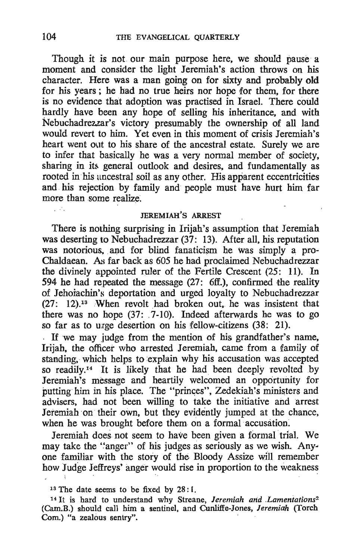Though it is not our main purpose here, we should pause a moment and consider the light Jeremiah's action throws on his character. Here was a man going on for sixty and probably old for his years; he had no true heirs nor hope for them, for there is no evidence that adoption was practised in Israel. There could hardly have been any hope of selling his inheritance, and with Nebuchadrezzar's victory presumably the ownership of all land would revert to him. Yet even in this moment of crisis Jeremiah's heart went out to his share of the ancestral estate. Surely we are to infer that basically he was a very normal member of society, sharing in its general outlook and desires, and fundamentally as rooted in his ancestral soil as any other. His apparent eccentricities and his rejection by family and people must have hurt him far more than some realize.

## JEREMIAH'S ARREST

There is nothing surprising in lrijah's assumption that Jeremiah was deserting to Nebuchadrezzar (37: 13). After all, his reputation was notorious, and for blind fanaticism he was simply a pro-Chaldaean. As far back as 605 he had proclaimed Nebuchadrezzar the divinely appointed ruler of the Fertile Crescent  $(25: 11)$ . In 594 he had repeated the message  $(27: 6ff.)$ , confirmed the reality of Jehoiachin's deportation and urged loyalty to Nebuchadrezzar  $(27: 12).$ <sup>13</sup> When revolt had broken out, he was insistent that there was no hope  $(37: 7-10)$ . Indeed afterwards he was to go so far as to urge desertion on his fellow-citizens  $(38: 21)$ .

If we may judge from the mention of his grandfather's name, Iriiah, the officer who arrested Jeremiah, came from a family of standing, which helps to explain why his accusation was accepted so readily.<sup>14</sup> It is likely that he had been deeply revolted by Jeremiah~s message and heartily welcomed an opportunity for putting him in his place. The "princes", Zedekiah's ministers and advisers, had not been willing to take the initiative and arrest Jeremiah on their own, but they evidently jumped at the chance, when he was brought before them on a formal accusation.

Jeremiah does not seem to have been given a formal trial. We may take the "anger" of his judges as seriously as we wish. Anyone familiar with the story of the Bloody Assize will remember how Judge Jeffreys' anger would rise in proportion to the weakness

Шń.

 $13$  The date seems to be fixed by 28:1.

<sup>14</sup>It is hard to understand why Streane, *Jeremiah and ,Lamentations2*  (Cam:B.) should call him a sentinel, and Cunli1fe-Jones, *Jeremiah* (Torch Com.) "a zealous sentry".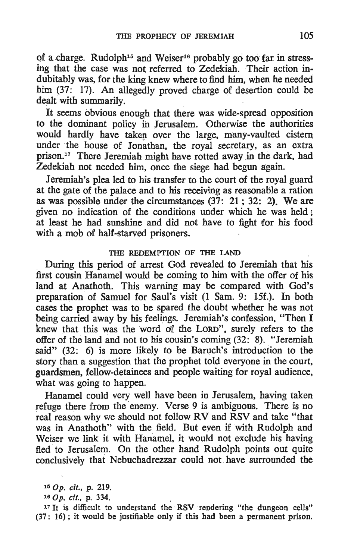of a charge. Rudolph<sup>15</sup> and Weiser<sup>16</sup> probably go too far in stressing that the case was not referred to Zedekiah. Their action indubitably was, for the king knew where to find him, when he needed him (37: 17), An allegedly proved charge of desertion could be dealt with summarily.

It seems obvious enough that there was wide-spread opposition to the dominant policy ih Jerusalem. Otherwise the authorities would hardly have taken over the large, many-vaulted cistern under the house of Jonathan, the royal secretary, as an extra prison.17 There Jeremiah might have rotted away in the dark, had Zedekiah not needed him, once the siege had begun again.

Jeremiah's plea led to his transfer to the court of the royal guard at the gate of the palace and to his receiving as reasonable a ration as was possible under the circumstances  $(37: 21; 32: 2)$ . We are given no indication of the conditions under which he was held ; at least he had sunshine and did not have to fight for his food with a mob of half-starved prisoners.

#### THE REDEMPTION OF THE lAND

During this period of arrest God revealed to Jeremiah that his first cousin Hanamel would be coming to him with the offer of his land at Anathoth. This warning may be compared with God's preparation of Samuel for Saul's visit (1 Sam. 9: 15f.). In both cases the prophet was to be spared the doubt whether he was not being carried away by his feelings. Jeremiah's confession, "Then I knew that this was the word of the LORD", surely refers to the offer of the land and not to his cousin's coming(32: 8). "Jeremiah said" (32: 6) is more likely to be Baruch's introduction to the story than a suggestion that the prophet told everyone in the court, guardsmen, fellow-detainees and people waiting for royal audience, what was going to happen.

Hanamel could very well have been in Jerusalem, having taken refuge there from the enemy. Verse 9 is ambiguous. There is no real reason why we should not follow RV and RSV and take "that was in Anathoth" with the field. But even if with Rudolph and Weiser we link it with Hanamel, it would not exclude his having fled to Jerusalem. On the other hand Rudolph points out quite conclusively that Nebuchadrezzar could not. have surrounded the

<sup>150</sup>p. cif., p. 219.

<sup>&</sup>lt;sup>15</sup> Op. *cit.*, p. 219.<br><sup>16</sup> Op. *cit.*, p. 334.<br><sup>17</sup> It is difficult to understand the RSV rendering "the dungeon cells"  $(37: 16)$ ; it would be justifiable only if this had been a permanent prison.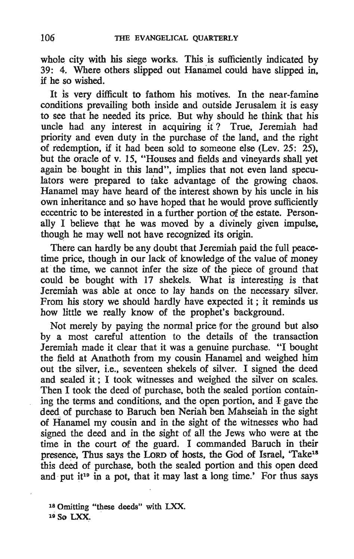whole city with his siege works. This is sufficiently indicated by 39: 4. Where others slipped out Hanamel could have slipped in. if he so wished.

It is very difficult to fathom his motives. In the near-famine conditions prevailing both inside and outside Jerusalem it is easy to see that he needed its price. But why should he think that his uncle had any interest in acquiring it? True, Jeremiah had priority and even duty in the purchase of the land, and the right of redemption. if it had been sold to someone else (Lev. 25: 25). but the oracle of v. 15. "Houses and fields and vineyards shall yet again be bought in this land", implies that not even land speculators were prepared to take advantage of the growing chaos. Hanamel may have heard of the interest shown by his uncle in his own inheritance and so have hoped that he would prove sufficiently eccentric to be interested in a further portion of the estate. Personally I believe that he was moved by a divinely given impulse. though he may well not have recognized its origin.

There can hardly be any doubt that Jeremiah paid the full peacetime price, though in our lack of knowledge of the value of money at the time, we cannot infer the size of the piece of ground that could be bought with 17 shekels. What is interesting is that Jeremiah was able at once to lay hands on the necessary silver. From his story we should hardly have expected it ; it reminds us how little we really know of the prophet's background.

Not merely by paying the normal price for the ground but also by a most careful attention to the details of the transaction Jeremiah made it clear that it was a genuine purchase. "I bought the field at Anathoth from my cousin Hanamel and weighed him out the silver, i.e., seventeen shekels of silver. I signed the deed and sealed it; I took witnesses and weighed the silver on scales. Then I took the deed of purchase, both the sealed portion containing the terms and conditions, and the open portion, and  $\overline{I}$  gave the deed of purchase to Baruch ben Neriah ben Mahseiah in the sight of Hanamel my cousin and in the sight of the witnesses who had signed the deed and in the sight of all the Jews who were at the time in the court of the guard. I commanded Baruch in their presence. Thus says the LORD of hosts, the God of Israel, 'Take<sup>18</sup> this deed of purchase, both the sealed portion and this open deed and put it<sup>19</sup> in a pot, that it may last a long time.' For thus says

<sup>18</sup> Omitting "these deeds" with LXX. 19 50 LXX.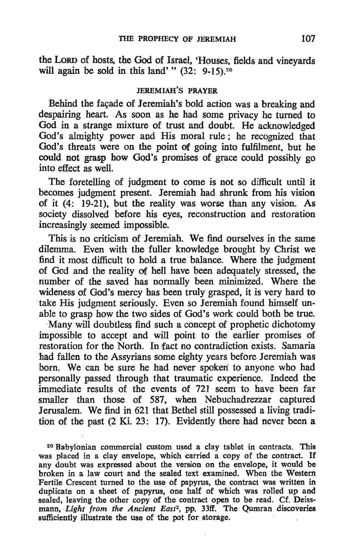the LoRD of hosts, the God of Israel, 'Houses, fields and vineyards will again be sold in this land' " $(32: 9-15)$ .<sup>20</sup>

## JEREMIAH'S PRAYER

Behind the facade of Jeremiah's bold action was a breaking and despairing heart. As soon as he had some privacy he turned to God in a strange mixture of trust and doubt. He acknowledged God's almighty power and His moral rule; he recognized that God's threats were on the point of going into fulfilment, but he could not grasp how God's promises of grace could possibly go into effect as well.

The foretelling of judgment to come is not so difficult until it becomes judgment present. Jeremiah had shrunk from his vision of it (4: 19-21), but the reality was worse than any vision. As society dissolved before his eyes, reconstruction and restoration increasingly seemed impossible.

This is no criticism of Jeremiah. We find ourselves in the same dilemma. Even with the fuller knowledge brought by Christ we find it most difficult to hold a true balance. Where the judgment of God and the reality Of hell have been adequately stressed, the number of the saved has normally been minimized. Where the wideness of God's mercy has been truly grasped, it is very hard to take His judgment seriously. Even so Jeremiah found himself unable to grasp how the two sides of God's work could both be true.

-Many will doubtless find such a concept of prophetic dichotomy impossible to accept and will point to the earlier promises of restoration for the North. In fact no contradiction exists. Samaria -had fallen to the Assyrians some eighty years before Jeremiah was born. We can be sure he had never spoken to anyone who had personally passed through that traumatic experience. Indeed the immediate results of the events of 721 seem to have been far smaller than those of 587, when Nebuchadrezzar captured Jerusalem. We find in 621 that Bethel still possessed a living tradition of the past (2 Ki. 23: 17). Evidently there had never been a

<sup>20</sup> Babylonian commercial custom used a clay tablet in contracts. This was placed in a clay envelope, which carried a copy of the contract. If any doubt was expressed about the version on the envelope, it would be broken in a law court and the sealed text examined. When the Western Fertile Crescent turned to the use of papyrus, the contract was written in duplicate on a sheet of papyrus, one half of which was rolled\_ up and sealed, leaving the other copy of the contract open to be read. Cf. Deissmann, *Light from the Ancient East2,* pp. 33ff. The Qumran discoveries sufficiently illustrate the use of the pot for storage.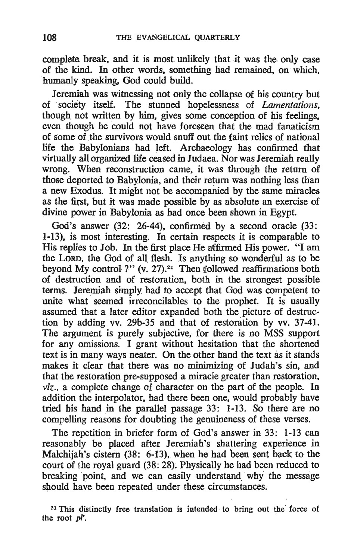complete break, and it is most unlikely that it was the only case of the kind. In other words, something had remained; on' which, 'humanly speaking, God could build.

Jeremiah was witnessing not only the collapse of his country but of ,'society itself. ,The stunned hopelessness of *Lamentations.*  though not written by him, gives some conception of his feelings, even though he could not have foreseen that the mad fanaticism of some of the survivors would snuff out the faint relics of national life the Babylonians had left. Archaeology has confirmed that virtually all organized life ceased in Judaea. Nor was Jeremiah really wrong. When reconstruction came, it was through the return of those deported to Babylonia, and their return was nothing less than a new Exodus. It might not be accompanied by the same miracles as the first, but it was made possible by as absolute an exercise of divine power in Babylonia as had once been shown in Egypt.

God's answer  $(32: 26-44)$ , confirmed by a second oracle  $(33:$ 1-13), is most interesting. In certain respects it is comparable to His replies to Job. In the first place He affirmed His power. "I am the LORD, the God of all flesh. Is anything so wonderful as to be beyond My control ?" (v. 27).<sup>21</sup> Then followed reaffirmations both of destruction and of restoration, both in the strongest possible terms. Jeremiah simply had to accept that God was competent to unite what seemed irreconcilables to the prophet. It is usually assumed that a later editor expanded both the picture of destruction by adding vv. 29b-35 and that of restoration by vv. 37-41. The argument is purely subjective, for there is no MSS support for any omissions. I grant without hesitation that the shortened text is in many ways neater. On the other hand the text as it stands makes it clear that there was no minimizing of Judah's sin, and that the restoration pre-supposed a miracle greater than restoration, *viz ..* a complete change of character on the part of the people. In addition the interpolator, had there been one, would probably have tried his hand in the parallel passage 33: 1-13. So 'there are no compelling reasons for doubting the genuineness of these verses.

The repetition in briefer form of God's answer in 33: 1-13 can reasonably be placed after Jeremiah's shattering experience in Malchijah's cistern  $(38: 6-13)$ , when he had been sent back to the court of the royal guard (38: 28). Physically he had been reduced to breaking point, and we can easily understand why the message should have been repeated under these circumstances.

<sup>&</sup>lt;sup>21</sup> This distinctly free translation is intended to bring out the force of the root  $pP$ .